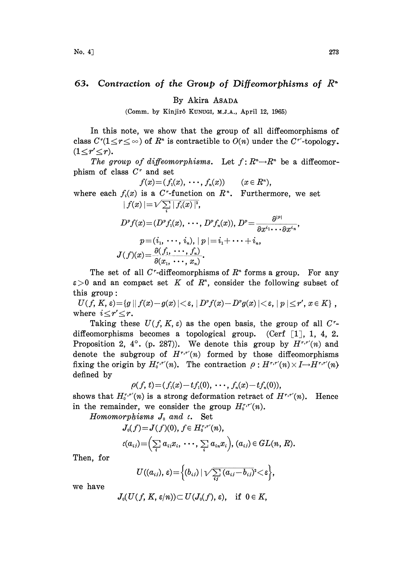## Contraction of the Group of Diffeomorphisms of  $R^*$ 63.

By Akira ASADA

(Comm. by Kinjirô KUNUGI, M.J.A., April 12, 1965)

In this note, we show that the group of all diffeomorphisms of class  $C^r(1 \leq r \leq \infty)$  of  $R^n$  is contractible to  $O(n)$  under the  $C^{r'}$ -topology.  $(1 \leq r' \leq r).$ 

The group of diffeomorphisms. Let  $f: R<sup>n</sup> \to R<sup>n</sup>$  be a diffeomorphism of class  $C<sup>r</sup>$  and set

$$
f(x) = (f_1(x), \cdots, f_n(x))
$$
  $(x \in R^n),$ 

where each  $f_i(x)$  is a C<sup>r</sup>-function on  $R<sup>n</sup>$ . Furthermore, we set  $\mid f(x)\mid=\sqrt{\sum\limits_{i}\mid f_{i}(x)\mid^{2}},$ 

$$
D^{\nu}f(x)=(D^{\nu}f_1(x),\cdots,D^{\nu}f_n(x)),\ D^{\nu}=\frac{\partial^{\vert x\vert}}{\partial x^{i_1}\cdots\partial x^{i_n}},\\ p=(i_1,\cdots,i_n),\ \vert\ p\ \vert=i_1+\cdots+i_n,\\ J(f)(x)=\frac{\partial(f_1,\cdots,f_n)}{\partial(x_1,\cdots,x_n)}.
$$

The set of all C<sup> $r$ </sup>-diffeomorphisms of  $R^*$  forms a group. For any  $\varepsilon > 0$  and an compact set K of  $R<sup>n</sup>$ , consider the following subset of this group:

 $U(f, K, \varepsilon) {=} \{g \mid |f(x) {-} g(x)| {<} \varepsilon, |D^{\nu} f(x) {-} D^{\nu} g(x)| {<} \varepsilon, |p| {\le} r', x{\in K}\}\, ,$ where  $i \leq r' \leq r$ .

Taking these  $U(f, K, \varepsilon)$  as the open basis, the group of all C<sup>r</sup>diffeomorphisms becomes a topological group. (Cerf  $\left[1\right]$ , 1, 4, 2. Proposition 2, 4°. (p. 287)). We denote this group by  $H^{r,r'}(n)$  and denote the subgroup of  $H^{r,r}(n)$  formed by those diffeomorphisms fixing the origin by  $H_0^{r,r}(n)$ . The contraction  $\rho: H^{r,r}(n) \times I \rightarrow H^{r,r}(n)$ defined by

$$
\rho(f, t) = (f_1(x) - tf_1(0), \cdots, f_n(x) - tf_n(0)),
$$

shows that  $H_0^{r,r'}(n)$  is a strong deformation retract of  $H^{r,r'}(n)$ . Hence in the remainder, we consider the group  $H_0^{r,r}(n)$ .

Homomorphisms  $J_0$  and  $\iota$ . Set

$$
J_0(f) = J(f)(0), f \in H_0^{r,r'}(n),
$$
  

$$
\iota(a_{ij}) = \Big(\sum_i a_{i1}x_i, \ \cdots, \ \sum_i a_{in}x_i\Big), (a_{ij}) \in GL(n, R).
$$

Then, for

$$
U((a_{ij}), \varepsilon) = \Big\{ (b_{ij}) \mid \sqrt{\sum_{ij} (a_{ij} - b_{ij})^2} < \varepsilon \Big\},\,
$$

we have

$$
J_0(U(f,\,K,\,\varepsilon/n))\!\subset U(J_0(f),\,\varepsilon),\quad\text{if}\;\;0\in K,
$$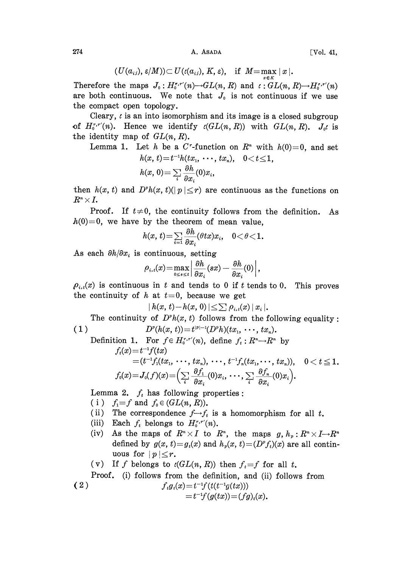274 A. ASADA [Vol. 41,

$$
(U(a_{ij}), \varepsilon/M)) \subset U(\iota(a_{ij}), K, \varepsilon), \quad \text{if} \ \ M = \max_{x \in K} \|x\|.
$$

Therefore the maps  $J_0: H_0^{r,r}(n) \rightarrow GL(n, R)$  and  $\iota: GL(n, R) \rightarrow H_0^{r,r}(n)$ are both continuous. We note that  $J_0$  is not continuous if we use the compact open topology.

Cleary,  $\iota$  is an into isomorphism and its image is a closed subgroup of  $H_0^{r,r'}(n)$ . Hence we identify  $\iota(GL(n,R))$  with  $GL(n,R)$ .  $J_0$  is the identity map of  $GL(n, R)$ .

Lemma 1. Let h be a C<sup>r</sup>-function on  $R<sup>n</sup>$  with  $h(0)=0$ , and set  $0 < t < 1$ .

$$
h(x, t) = t^{-1}h(tx_1, \cdots, tx_n),
$$
  

$$
h(x, 0) = \sum_i \frac{\partial h}{\partial x_i}(0)x_i,
$$

then  $h(x, t)$  and  $D^h(x, t)(|p| \leq r)$  are continuous as the functions on  $R^n\!\times\!I$ .

Proof. If  $t\neq 0$ , the continuity follows from the definition. As  $h(0)=0$ , we have by the theorem of mean value.

$$
h(x, t)=\sum_{i=1}\frac{\partial h}{\partial x_i}(\theta tx)x_i, \quad 0<\theta<1.
$$

As each  $\partial h/\partial x_i$  is continuous, setting

$$
\rho_{i,\,t}(x)\!=\!\max_{0\leq s\leq t}\left|\frac{\partial h}{\partial x_i}(sx)-\frac{\partial h}{\partial x_i}(0)\right|,
$$

 $\rho_{i,t}(x)$  is continuous in t and tends to 0 if t tends to 0. This proves the continuity of h at  $t=0$ , because we get

 $|h(x, t)-h(x, 0)| \leq \sum_{i} \rho_{i,t}(x)|x_i|.$ 

The continuity of  $D^{\nu}h(x, t)$  follows from the following equality: ( 1 )  $D^{\nu}(h(x, t)) = t^{|\nu|-1}(D^{\nu}h)(tx_1, \cdots, tx_n).$ 

 $D^{c}(h(x, t)) = t^{(c-1)}(D^{c}h)(tx_{1}, \dots, tx_{n}).$ <br>Definition 1. For  $f \in H_{0}^{r,r'}(n)$ , define  $f_{t}: R^{n} \rightarrow R^{n}$  by  $f_{t}(x) = t^{-1}f(tx)$  $f_t(x)=t^{-1}f(tx)$  $=(t^{-1}f_1(tx_1, \cdots, tx_n), \cdots, t^{-1}f_n(tx_1, \cdots, tx_n)), \quad 0 < t \leq 1.$  $f_0(x) = J_0(f)(x) = \left(\sum_i \frac{\partial f_1}{\partial x_i}(0)x_i, \dots, \sum_i \frac{\partial f_n}{\partial x_i}(0)x_i\right).$ 

Lemma 2.  $f_t$  has following properties:

- (i)  $f_i = f$  and  $f_0 \in (GL(n, R))$ .
- (ii) The correspondence  $f \rightarrow f_t$  is a homomorphism for all t.
- (iii) Each  $f_t$  belongs to  $H_0^{r,r}(n)$ .
- (iv) As the maps of  $R^n \times I$  to  $R^n$ , the maps  $g, h_n: R^n \times I \rightarrow R^n$ defined by  $g(x, t)=g_t(x)$  and  $h<sub>v</sub>(x, t)=(D<sup>v</sup>f<sub>t</sub>)(x)$  are all continuous for  $|p| \leq r$ .

(v) If f belongs to 
$$
\ell(GL(n, R))
$$
 then  $f_t = f$  for all t.

Proof. (i) follows from the definition, and (ii) follows from

(2) 
$$
f_t g_t(x) = t^{-1} f(t(t^{-1}g(tx))) = t^{-1} f(g(tx)) = (fg)_t(x).
$$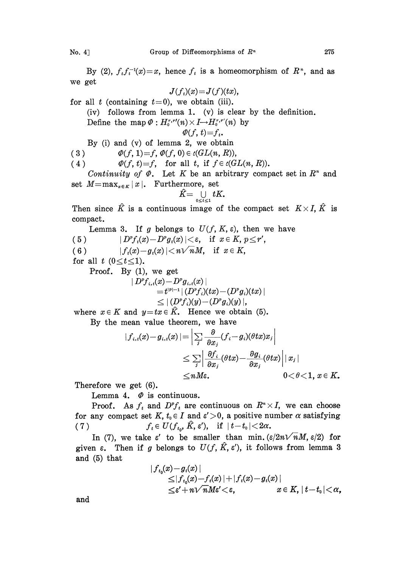By (2),  $f_t f_t^{-1}(x) = x$ , hence  $f_t$  is a homeomorphism of  $R^*$ , and as we get

$$
J(f_t)(x) = J(f)(tx),
$$

for all  $t$  (containing  $t=0$ ), we obtain (iii).

(iv) follows from lemma 1. (v) is clear by the definition.

Define the map  $\varPhi: H_0^{r,r'}(n)\times I{\longrightarrow} H_0^{r,r'}(n)$  by  $\varPhi(f,\,t){=}f_t.$ 

$$
\varPhi(f,t)=f_t.
$$

By (i) and (v) of lemma 2, we obtain

(3)  $\Phi(f, 1)=f, \Phi(f, 0) \in \iota(GL(n, R)),$ 

(4)  $\Phi(f, t)=f$ , for all t, if  $f \in \iota(GL(n, R))$ .

Continuity of  $\Phi$ . Let K be an arbitrary compact set in  $R^n$  and set  $M=\max_{x\in K}|x|$ . Furthermore, set

$$
\hat{K}\mathbf{=}\mathop{\cup}\limits_{0\leq t\leq 1}tK_{\bullet}
$$

Then since  $\hat{K}$  is a continuous image of the compact set  $K \times I$ ,  $\hat{K}$  is compact.

Lemma 3. If g belongs to  $U(f, K, \varepsilon)$ , then we have (5)  $|D^{\nu}f_i(x)-D^{\nu}g_i(x)|<\varepsilon$ , if  $x \in K, p \leq r'$ ,

( 6 )  $|f_t(x)-g_t(x)| < n\sqrt{n}M$ , if  $x \in K$ ,

for all t  $(0 \le t \le 1)$ .

Proof. By (1), we get

$$
\begin{aligned} \mid D^pf_{i,t}(x) & -D^pg_{i,t}(x)\mid \\ & = t^{|p|-1} \, |\, (D^pf_i)(tx) - (D^rg_i)(tx)\mid \\ & \leq |\, (D^pf_i)(y) - (D^rg_i)(y)\,| \, ,\end{aligned}
$$

where  $x \in K$  and  $y = tx \in K$ . Hence we obtain (5).

By the mean value theorem, we have

$$
\begin{aligned} |f_{i,i}(x)-g_{i,i}(x)|=&\left|\sum_j\frac{\partial}{\partial x_j}(f_i-g_i)(\theta tx)x_j\right|\\&\leq \sum_j\left|\frac{\partial f_i}{\partial x_j}(\theta tx)-\frac{\partial g_i}{\partial x_j}(\theta tx)\right||x_j|\\&\leq nM\varepsilon,\qquad \qquad 0<\theta<1,\,x\in K.\end{aligned}
$$

Therefore we get (6).

Lemma 4.  $\Phi$  is continuous.

Proof. As  $f_t$  and  $D^{\nu}f_t$  are continuous on  $R^{\nu} \times I$ , we can choose for any compact set K,  $t_0 \in I$  and  $\varepsilon' > 0$ , a positive number  $\alpha$  satisfying (7)  $f_t \in U(f_{t_0}, \hat{K}, \varepsilon'), \text{ if } |t-t_0| < 2\alpha.$ 

In (7), we take  $\varepsilon'$  to be smaller than min.  $(\varepsilon/2n\sqrt{n}M, \varepsilon/2)$  for given  $\varepsilon$ . Then if g belongs to  $U(f, \hat{K}, \varepsilon')$ , it follows from lemma 3 and (5) that

$$
\begin{aligned} &|f_{t_0}(x)\!-\!g_t(x)|\\ &\leq&|f_{t_0}(x)\!-\!f_t(x)|\!+\!|f_t(x)\!-\!g_t(x)|\\ &\leq&\epsilon' +n\sqrt{n}M\varepsilon'\!<&\!\varepsilon,\qquad x\in K,\,|\,t\!-\!t_0|\!<\!\alpha,\end{aligned}
$$

and